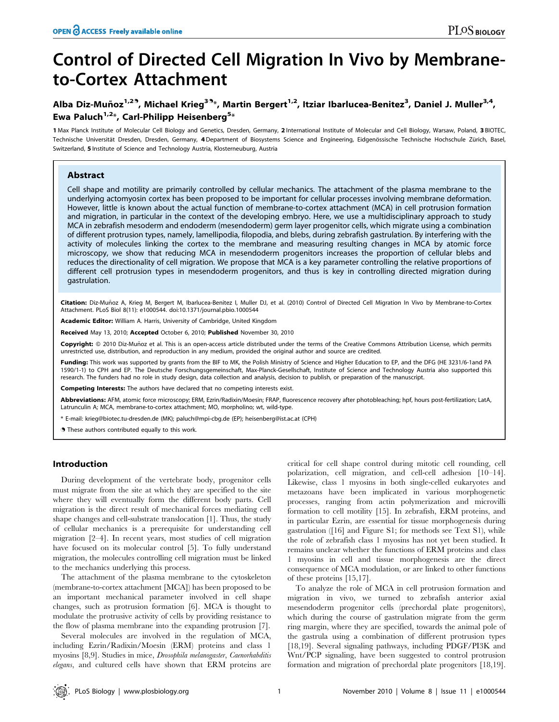# Control of Directed Cell Migration In Vivo by Membraneto-Cortex Attachment

# Alba Diz-Muñoz<sup>1,29</sup>, Michael Krieg<sup>39</sup>\*, Martin Bergert<sup>1,2</sup>, Itziar Ibarlucea-Benitez<sup>3</sup>, Daniel J. Muller<sup>3,4</sup>, Ewa Paluch<sup>1,2\*</sup>, Carl-Philipp Heisenberg<sup>5\*</sup>

1 Max Planck Institute of Molecular Cell Biology and Genetics, Dresden, Germany, 2 International Institute of Molecular and Cell Biology, Warsaw, Poland, 3 BIOTEC, Technische Universität Dresden, Dresden, Germany, 4 Department of Biosystems Science and Engineering, Eidgenössische Technische Hochschule Zürich, Basel, Switzerland, 5 Institute of Science and Technology Austria, Klosterneuburg, Austria

# Abstract

Cell shape and motility are primarily controlled by cellular mechanics. The attachment of the plasma membrane to the underlying actomyosin cortex has been proposed to be important for cellular processes involving membrane deformation. However, little is known about the actual function of membrane-to-cortex attachment (MCA) in cell protrusion formation and migration, in particular in the context of the developing embryo. Here, we use a multidisciplinary approach to study MCA in zebrafish mesoderm and endoderm (mesendoderm) germ layer progenitor cells, which migrate using a combination of different protrusion types, namely, lamellipodia, filopodia, and blebs, during zebrafish gastrulation. By interfering with the activity of molecules linking the cortex to the membrane and measuring resulting changes in MCA by atomic force microscopy, we show that reducing MCA in mesendoderm progenitors increases the proportion of cellular blebs and reduces the directionality of cell migration. We propose that MCA is a key parameter controlling the relative proportions of different cell protrusion types in mesendoderm progenitors, and thus is key in controlling directed migration during gastrulation.

Citation: Diz-Muñoz A, Krieg M, Bergert M, Ibarlucea-Benitez I, Muller DJ, et al. (2010) Control of Directed Cell Migration In Vivo by Membrane-to-Cortex Attachment. PLoS Biol 8(11): e1000544. doi:10.1371/journal.pbio.1000544

Academic Editor: William A. Harris, University of Cambridge, United Kingdom

Received May 13, 2010; Accepted October 6, 2010; Published November 30, 2010

Copyright: © 2010 Diz-Muñoz et al. This is an open-access article distributed under the terms of the Creative Commons Attribution License, which permits unrestricted use, distribution, and reproduction in any medium, provided the original author and source are credited.

Funding: This work was supported by grants from the BIF to MK, the Polish Ministry of Science and Higher Education to EP, and the DFG (HE 3231/6-1and PA 1590/1-1) to CPH and EP. The Deutsche Forschungsgemeinschaft, Max-Planck-Gesellschaft, Institute of Science and Technology Austria also supported this research. The funders had no role in study design, data collection and analysis, decision to publish, or preparation of the manuscript.

**Competing Interests:** The authors have declared that no competing interests exist.

Abbreviations: AFM, atomic force microscopy; ERM, Ezrin/Radixin/Moesin; FRAP, fluorescence recovery after photobleaching; hpf, hours post-fertilization; LatA, Latrunculin A; MCA, membrane-to-cortex attachment; MO, morpholino; wt, wild-type.

E-mail: krieg@biotec.tu-dresden.de (MK); paluch@mpi-cbg.de (EP); heisenberg@ist.ac.at (CPH)

. These authors contributed equally to this work.

# Introduction

During development of the vertebrate body, progenitor cells must migrate from the site at which they are specified to the site where they will eventually form the different body parts. Cell migration is the direct result of mechanical forces mediating cell shape changes and cell-substrate translocation [1]. Thus, the study of cellular mechanics is a prerequisite for understanding cell migration [2–4]. In recent years, most studies of cell migration have focused on its molecular control [5]. To fully understand migration, the molecules controlling cell migration must be linked to the mechanics underlying this process.

The attachment of the plasma membrane to the cytoskeleton (membrane-to-cortex attachment [MCA]) has been proposed to be an important mechanical parameter involved in cell shape changes, such as protrusion formation [6]. MCA is thought to modulate the protrusive activity of cells by providing resistance to the flow of plasma membrane into the expanding protrusion [7].

Several molecules are involved in the regulation of MCA, including Ezrin/Radixin/Moesin (ERM) proteins and class 1 myosins [8,9]. Studies in mice, Drosophila melanogaster, Caenorhabditis elegans, and cultured cells have shown that ERM proteins are critical for cell shape control during mitotic cell rounding, cell polarization, cell migration, and cell-cell adhesion [10–14]. Likewise, class 1 myosins in both single-celled eukaryotes and metazoans have been implicated in various morphogenetic processes, ranging from actin polymerization and microvilli formation to cell motility [15]. In zebrafish, ERM proteins, and in particular Ezrin, are essential for tissue morphogenesis during gastrulation ([16] and Figure S1; for methods see Text S1), while the role of zebrafish class 1 myosins has not yet been studied. It remains unclear whether the functions of ERM proteins and class 1 myosins in cell and tissue morphogenesis are the direct consequence of MCA modulation, or are linked to other functions of these proteins [15,17].

To analyze the role of MCA in cell protrusion formation and migration in vivo, we turned to zebrafish anterior axial mesendoderm progenitor cells (prechordal plate progenitors), which during the course of gastrulation migrate from the germ ring margin, where they are specified, towards the animal pole of the gastrula using a combination of different protrusion types [18,19]. Several signaling pathways, including PDGF/PI3K and Wnt/PCP signaling, have been suggested to control protrusion formation and migration of prechordal plate progenitors [18,19].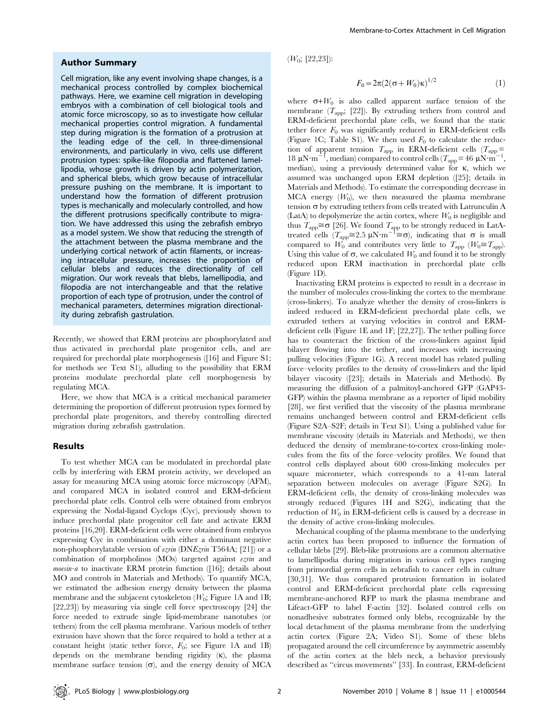### Author Summary

Cell migration, like any event involving shape changes, is a mechanical process controlled by complex biochemical pathways. Here, we examine cell migration in developing embryos with a combination of cell biological tools and atomic force microscopy, so as to investigate how cellular mechanical properties control migration. A fundamental step during migration is the formation of a protrusion at the leading edge of the cell. In three-dimensional environments, and particularly in vivo, cells use different protrusion types: spike-like filopodia and flattened lamellipodia, whose growth is driven by actin polymerization, and spherical blebs, which grow because of intracellular pressure pushing on the membrane. It is important to understand how the formation of different protrusion types is mechanically and molecularly controlled, and how the different protrusions specifically contribute to migration. We have addressed this using the zebrafish embryo as a model system. We show that reducing the strength of the attachment between the plasma membrane and the underlying cortical network of actin filaments, or increasing intracellular pressure, increases the proportion of cellular blebs and reduces the directionality of cell migration. Our work reveals that blebs, lamellipodia, and filopodia are not interchangeable and that the relative proportion of each type of protrusion, under the control of mechanical parameters, determines migration directionality during zebrafish gastrulation.

Recently, we showed that ERM proteins are phosphorylated and thus activated in prechordal plate progenitor cells, and are required for prechordal plate morphogenesis ([16] and Figure S1; for methods see Text S1), alluding to the possibility that ERM proteins modulate prechordal plate cell morphogenesis by regulating MCA.

Here, we show that MCA is a critical mechanical parameter determining the proportion of different protrusion types formed by prechordal plate progenitors, and thereby controlling directed migration during zebrafish gastrulation.

#### Results

To test whether MCA can be modulated in prechordal plate cells by interfering with ERM protein activity, we developed an assay for measuring MCA using atomic force microscopy (AFM), and compared MCA in isolated control and ERM-deficient prechordal plate cells. Control cells were obtained from embryos expressing the Nodal-ligand Cyclops (Cyc), previously shown to induce prechordal plate progenitor cell fate and activate ERM proteins [16,20]. ERM-deficient cells were obtained from embryos expressing Cyc in combination with either a dominant negative non-phosphorylatable version of  $\epsilon z \dot{r}$  (DNE $\epsilon z \dot{r}$  T564A; [21]) or a combination of morpholinos (MOs) targeted against ezrin and moesin-a to inactivate ERM protein function ([16]; details about MO and controls in Materials and Methods). To quantify MCA, we estimated the adhesion energy density between the plasma membrane and the subjacent cytoskeleton  $(W_0;$  Figure 1A and 1B; [22,23]) by measuring via single cell force spectroscopy [24] the force needed to extrude single lipid-membrane nanotubes (or tethers) from the cell plasma membrane. Various models of tether extrusion have shown that the force required to hold a tether at a constant height (static tether force,  $F_0$ ; see Figure 1A and 1B) depends on the membrane bending rigidity (k), the plasma membrane surface tension  $(\sigma)$ , and the energy density of MCA

 $(W_0; [22, 23])$ :

$$
F_0 = 2\pi (2(\sigma + W_0)\kappa)^{1/2}
$$
 (1)

where  $\sigma + W_0$  is also called apparent surface tension of the membrane  $(T_{\text{app}};$  [22]). By extruding tethers from control and ERM-deficient prechordal plate cells, we found that the static tether force  $F_0$  was significantly reduced in ERM-deficient cells (Figure 1C; Table S1). We then used  $F_0$  to calculate the reduction of apparent tension  $T_{\text{app}}$  in ERM-deficient cells  $(T_{\text{app}}=$ 18  $\mu$ N·m<sup>-1</sup>, median) compared to control cells ( $T_{app}$  = 46  $\mu$ N·m<sup>-1</sup> , median), using a previously determined value for  $\kappa$ , which we assumed was unchanged upon ERM depletion ([25]; details in Materials and Methods). To estimate the corresponding decrease in MCA energy  $(W_0)$ , we then measured the plasma membrane tension  $\sigma$  by extruding tethers from cells treated with Latrunculin A (LatA) to depolymerize the actin cortex, where  $W_0$  is negligible and thus  $T_{\text{app}} \cong \sigma$  [26]. We found  $T_{\text{app}}$  to be strongly reduced in LatAtreated cells  $(T_{app} \cong 2.5 \mu N \cdot m^{-1} \cong \sigma)$ , indicating that  $\sigma$  is small compared to  $W_0$  and contributes very little to  $T_{\text{app}}$  ( $W_0 \cong T_{\text{app}}$ ). Using this value of  $\sigma$ , we calculated  $W_0$  and found it to be strongly reduced upon ERM inactivation in prechordal plate cells (Figure 1D).

Inactivating ERM proteins is expected to result in a decrease in the number of molecules cross-linking the cortex to the membrane (cross-linkers). To analyze whether the density of cross-linkers is indeed reduced in ERM-deficient prechordal plate cells, we extruded tethers at varying velocities in control and ERMdeficient cells (Figure 1E and 1F; [22,27]). The tether pulling force has to counteract the friction of the cross-linkers against lipid bilayer flowing into the tether, and increases with increasing pulling velocities (Figure 1G). A recent model has related pulling force–velocity profiles to the density of cross-linkers and the lipid bilayer viscosity ([23]; details in Materials and Methods). By measuring the diffusion of a palmitoyl-anchored GFP (GAP43- GFP) within the plasma membrane as a reporter of lipid mobility [28], we first verified that the viscosity of the plasma membrane remains unchanged between control and ERM-deficient cells (Figure S2A–S2F; details in Text S1). Using a published value for membrane viscosity (details in Materials and Methods), we then deduced the density of membrane-to-cortex cross-linking molecules from the fits of the force–velocity profiles. We found that control cells displayed about 600 cross-linking molecules per square micrometer, which corresponds to a 41-nm lateral separation between molecules on average (Figure S2G). In ERM-deficient cells, the density of cross-linking molecules was strongly reduced (Figures 1H and S2G), indicating that the reduction of  $W_0$  in ERM-deficient cells is caused by a decrease in the density of active cross-linking molecules.

Mechanical coupling of the plasma membrane to the underlying actin cortex has been proposed to influence the formation of cellular blebs [29]. Bleb-like protrusions are a common alternative to lamellipodia during migration in various cell types ranging from primordial germ cells in zebrafish to cancer cells in culture [30,31]. We thus compared protrusion formation in isolated control and ERM-deficient prechordal plate cells expressing membrane-anchored RFP to mark the plasma membrane and Lifeact-GFP to label F-actin [32]. Isolated control cells on nonadhesive substrates formed only blebs, recognizable by the local detachment of the plasma membrane from the underlying actin cortex (Figure 2A; Video S1). Some of these blebs propagated around the cell circumference by asymmetric assembly of the actin cortex at the bleb neck, a behavior previously described as ''circus movements'' [33]. In contrast, ERM-deficient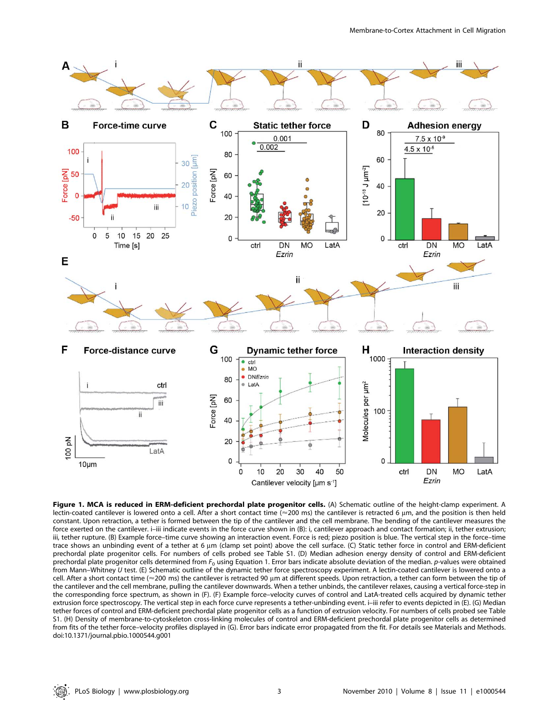

Figure 1. MCA is reduced in ERM-deficient prechordal plate progenitor cells. (A) Schematic outline of the height-clamp experiment. A lectin-coated cantilever is lowered onto a cell. After a short contact time ( $\approx$ 200 ms) the cantilever is retracted 6 µm, and the position is then held constant. Upon retraction, a tether is formed between the tip of the cantilever and the cell membrane. The bending of the cantilever measures the force exerted on the cantilever. i–iii indicate events in the force curve shown in (B): i, cantilever approach and contact formation; ii, tether extrusion; iii, tether rupture. (B) Example force–time curve showing an interaction event. Force is red; piezo position is blue. The vertical step in the force–time trace shows an unbinding event of a tether at 6 µm (clamp set point) above the cell surface. (C) Static tether force in control and ERM-deficient prechordal plate progenitor cells. For numbers of cells probed see Table S1. (D) Median adhesion energy density of control and ERM-deficient prechordal plate progenitor cells determined from F<sub>0</sub> using Equation 1. Error bars indicate absolute deviation of the median. *p*-values were obtained from Mann–Whitney U test. (E) Schematic outline of the dynamic tether force spectroscopy experiment. A lectin-coated cantilever is lowered onto a cell. After a short contact time ( $\approx$ 200 ms) the cantilever is retracted 90  $\mu$ m at different speeds. Upon retraction, a tether can form between the tip of the cantilever and the cell membrane, pulling the cantilever downwards. When a tether unbinds, the cantilever relaxes, causing a vertical force-step in the corresponding force spectrum, as shown in (F). (F) Example force–velocity curves of control and LatA-treated cells acquired by dynamic tether extrusion force spectroscopy. The vertical step in each force curve represents a tether-unbinding event. i–iii refer to events depicted in (E). (G) Median tether forces of control and ERM-deficient prechordal plate progenitor cells as a function of extrusion velocity. For numbers of cells probed see Table S1. (H) Density of membrane-to-cytoskeleton cross-linking molecules of control and ERM-deficient prechordal plate progenitor cells as determined from fits of the tether force–velocity profiles displayed in (G). Error bars indicate error propagated from the fit. For details see Materials and Methods. doi:10.1371/journal.pbio.1000544.g001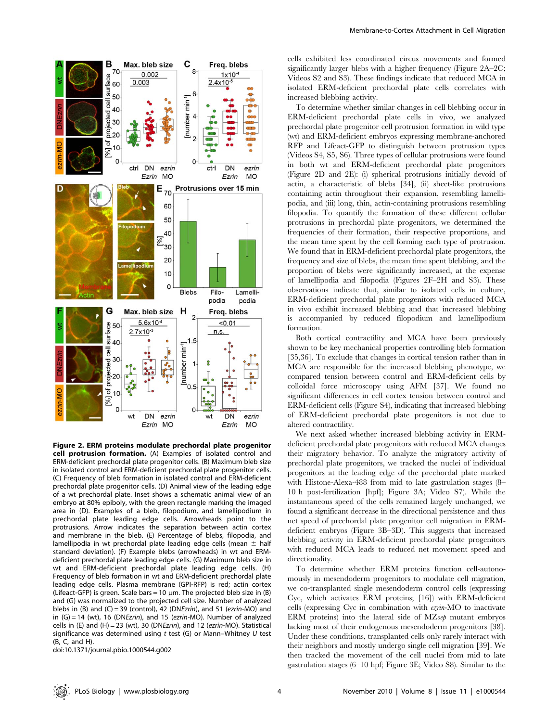

Figure 2. ERM proteins modulate prechordal plate progenitor cell protrusion formation. (A) Examples of isolated control and ERM-deficient prechordal plate progenitor cells. (B) Maximum bleb size in isolated control and ERM-deficient prechordal plate progenitor cells. (C) Frequency of bleb formation in isolated control and ERM-deficient prechordal plate progenitor cells. (D) Animal view of the leading edge of a wt prechordal plate. Inset shows a schematic animal view of an embryo at 80% epiboly, with the green rectangle marking the imaged area in (D). Examples of a bleb, filopodium, and lamellipodium in prechordal plate leading edge cells. Arrowheads point to the protrusions. Arrow indicates the separation between actin cortex and membrane in the bleb. (E) Percentage of blebs, filopodia, and lamellipodia in wt prechordal plate leading edge cells (mean  $\pm$  half standard deviation). (F) Example blebs (arrowheads) in wt and ERMdeficient prechordal plate leading edge cells. (G) Maximum bleb size in wt and ERM-deficient prechordal plate leading edge cells. (H) Frequency of bleb formation in wt and ERM-deficient prechordal plate leading edge cells. Plasma membrane (GPI-RFP) is red; actin cortex (Lifeact-GFP) is green. Scale bars  $= 10 \mu m$ . The projected bleb size in (B) and (G) was normalized to the projected cell size. Number of analyzed blebs in (B) and  $(C) = 39$  (control), 42 (DNEzrin), and 51 (ezrin-MO) and in  $(G) = 14$  (wt), 16 (DNEzrin), and 15 (ezrin-MO). Number of analyzed cells in (E) and (H) = 23 (wt), 30 (DNEzrin), and 12 (ezrin-MO). Statistical significance was determined using  $t$  test (G) or Mann-Whitney  $U$  test (B, C, and H).

doi:10.1371/journal.pbio.1000544.g002

cells exhibited less coordinated circus movements and formed significantly larger blebs with a higher frequency (Figure 2A–2C; Videos S2 and S3). These findings indicate that reduced MCA in isolated ERM-deficient prechordal plate cells correlates with increased blebbing activity.

To determine whether similar changes in cell blebbing occur in ERM-deficient prechordal plate cells in vivo, we analyzed prechordal plate progenitor cell protrusion formation in wild type (wt) and ERM-deficient embryos expressing membrane-anchored RFP and Lifeact-GFP to distinguish between protrusion types (Videos S4, S5, S6). Three types of cellular protrusions were found in both wt and ERM-deficient prechordal plate progenitors (Figure 2D and 2E): (i) spherical protrusions initially devoid of actin, a characteristic of blebs [34], (ii) sheet-like protrusions containing actin throughout their expansion, resembling lamellipodia, and (iii) long, thin, actin-containing protrusions resembling filopodia. To quantify the formation of these different cellular protrusions in prechordal plate progenitors, we determined the frequencies of their formation, their respective proportions, and the mean time spent by the cell forming each type of protrusion. We found that in ERM-deficient prechordal plate progenitors, the frequency and size of blebs, the mean time spent blebbing, and the proportion of blebs were significantly increased, at the expense of lamellipodia and filopodia (Figures 2F–2H and S3). These observations indicate that, similar to isolated cells in culture, ERM-deficient prechordal plate progenitors with reduced MCA in vivo exhibit increased blebbing and that increased blebbing is accompanied by reduced filopodium and lamellipodium formation.

Both cortical contractility and MCA have been previously shown to be key mechanical properties controlling bleb formation [35,36]. To exclude that changes in cortical tension rather than in MCA are responsible for the increased blebbing phenotype, we compared tension between control and ERM-deficient cells by colloidal force microscopy using AFM [37]. We found no significant differences in cell cortex tension between control and ERM-deficient cells (Figure S4), indicating that increased blebbing of ERM-deficient prechordal plate progenitors is not due to altered contractility.

We next asked whether increased blebbing activity in ERMdeficient prechordal plate progenitors with reduced MCA changes their migratory behavior. To analyze the migratory activity of prechordal plate progenitors, we tracked the nuclei of individual progenitors at the leading edge of the prechordal plate marked with Histone-Alexa-488 from mid to late gastrulation stages (8– 10 h post-fertilization [hpf]; Figure 3A; Video S7). While the instantaneous speed of the cells remained largely unchanged, we found a significant decrease in the directional persistence and thus net speed of prechordal plate progenitor cell migration in ERMdeficient embryos (Figure 3B–3D). This suggests that increased blebbing activity in ERM-deficient prechordal plate progenitors with reduced MCA leads to reduced net movement speed and directionality.

To determine whether ERM proteins function cell-autonomously in mesendoderm progenitors to modulate cell migration, we co-transplanted single mesendoderm control cells (expressing Cyc, which activates ERM proteins; [16]) with ERM-deficient cells (expressing Cyc in combination with ezrin-MO to inactivate ERM proteins) into the lateral side of MZoep mutant embryos lacking most of their endogenous mesendoderm progenitors [38]. Under these conditions, transplanted cells only rarely interact with their neighbors and mostly undergo single cell migration [39]. We then tracked the movement of the cell nuclei from mid to late gastrulation stages (6–10 hpf; Figure 3E; Video S8). Similar to the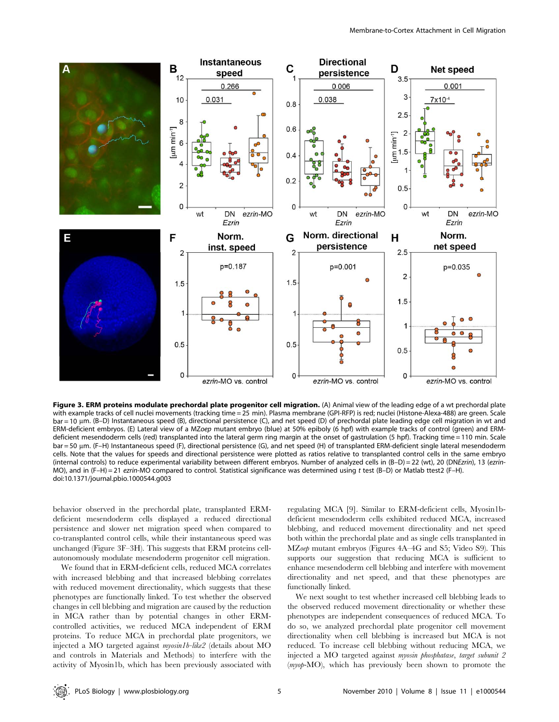

Figure 3. ERM proteins modulate prechordal plate progenitor cell migration. (A) Animal view of the leading edge of a wt prechordal plate with example tracks of cell nuclei movements (tracking time = 25 min). Plasma membrane (GPI-RFP) is red; nuclei (Histone-Alexa-488) are green. Scale bar = 10 mm. (B–D) Instantaneous speed (B), directional persistence (C), and net speed (D) of prechordal plate leading edge cell migration in wt and ERM-deficient embryos. (E) Lateral view of a MZoep mutant embryo (blue) at 50% epiboly (6 hpf) with example tracks of control (green) and ERMdeficient mesendoderm cells (red) transplanted into the lateral germ ring margin at the onset of gastrulation (5 hpf). Tracking time = 110 min. Scale bar = 50 µm. (F-H) Instantaneous speed (F), directional persistence (G), and net speed (H) of transplanted ERM-deficient single lateral mesendoderm cells. Note that the values for speeds and directional persistence were plotted as ratios relative to transplanted control cells in the same embryo (internal controls) to reduce experimental variability between different embryos. Number of analyzed cells in (B–D) = 22 (wt), 20 (DNEzrin), 13 (ezrin-MO), and in (F–H) = 21 ezrin-MO compared to control. Statistical significance was determined using t test (B–D) or Matlab ttest2 (F–H). doi:10.1371/journal.pbio.1000544.g003

behavior observed in the prechordal plate, transplanted ERMdeficient mesendoderm cells displayed a reduced directional persistence and slower net migration speed when compared to co-transplanted control cells, while their instantaneous speed was unchanged (Figure 3F–3H). This suggests that ERM proteins cellautonomously modulate mesendoderm progenitor cell migration.

We found that in ERM-deficient cells, reduced MCA correlates with increased blebbing and that increased blebbing correlates with reduced movement directionality, which suggests that these phenotypes are functionally linked. To test whether the observed changes in cell blebbing and migration are caused by the reduction in MCA rather than by potential changes in other ERMcontrolled activities, we reduced MCA independent of ERM proteins. To reduce MCA in prechordal plate progenitors, we injected a MO targeted against myosin1b-like2 (details about MO and controls in Materials and Methods) to interfere with the activity of Myosin1b, which has been previously associated with regulating MCA [9]. Similar to ERM-deficient cells, Myosin1bdeficient mesendoderm cells exhibited reduced MCA, increased blebbing, and reduced movement directionality and net speed both within the prechordal plate and as single cells transplanted in MZoep mutant embryos (Figures 4A–4G and S5; Video S9). This supports our suggestion that reducing MCA is sufficient to enhance mesendoderm cell blebbing and interfere with movement directionality and net speed, and that these phenotypes are functionally linked.

We next sought to test whether increased cell blebbing leads to the observed reduced movement directionality or whether these phenotypes are independent consequences of reduced MCA. To do so, we analyzed prechordal plate progenitor cell movement directionality when cell blebbing is increased but MCA is not reduced. To increase cell blebbing without reducing MCA, we injected a MO targeted against myosin phosphatase, target subunit 2 (myop-MO), which has previously been shown to promote the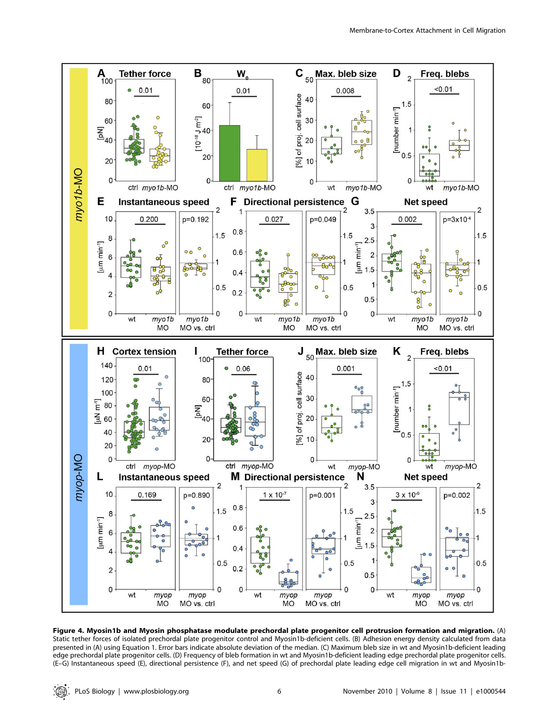

Figure 4. Myosin1b and Myosin phosphatase modulate prechordal plate progenitor cell protrusion formation and migration. (A) Static tether forces of isolated prechordal plate progenitor control and Myosin1b-deficient cells. (B) Adhesion energy density calculated from data presented in (A) using Equation 1. Error bars indicate absolute deviation of the median. (C) Maximum bleb size in wt and Myosin1b-deficient leading edge prechordal plate progenitor cells. (D) Frequency of bleb formation in wt and Myosin1b-deficient leading edge prechordal plate progenitor cells. (E–G) Instantaneous speed (E), directional persistence (F), and net speed (G) of prechordal plate leading edge cell migration in wt and Myosin1b-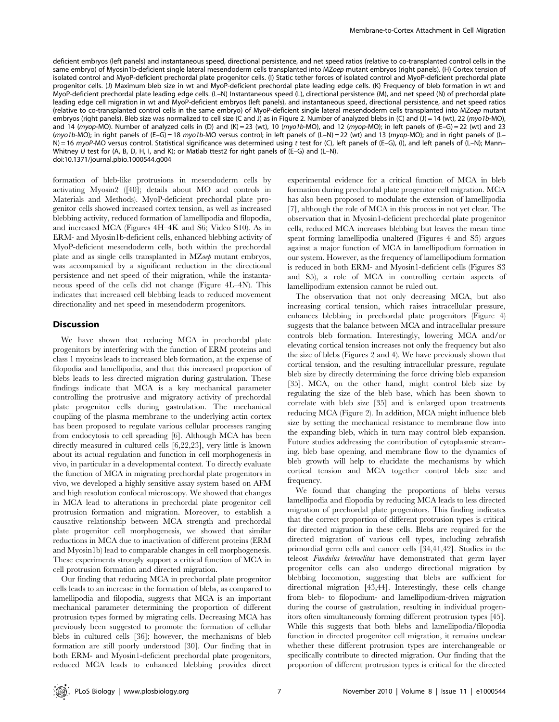deficient embryos (left panels) and instantaneous speed, directional persistence, and net speed ratios (relative to co-transplanted control cells in the same embryo) of Myosin1b-deficient single lateral mesendoderm cells transplanted into MZoep mutant embryos (right panels). (H) Cortex tension of isolated control and MyoP-deficient prechordal plate progenitor cells. (I) Static tether forces of isolated control and MyoP-deficient prechordal plate progenitor cells. (J) Maximum bleb size in wt and MyoP-deficient prechordal plate leading edge cells. (K) Frequency of bleb formation in wt and MyoP-deficient prechordal plate leading edge cells. (L–N) Instantaneous speed (L), directional persistence (M), and net speed (N) of prechordal plate leading edge cell migration in wt and MyoP-deficient embryos (left panels), and instantaneous speed, directional persistence, and net speed ratios (relative to co-transplanted control cells in the same embryo) of MyoP-deficient single lateral mesendoderm cells transplanted into MZoep mutant embryos (right panels). Bleb size was normalized to cell size (C and J) as in Figure 2. Number of analyzed blebs in (C) and (J) = 14 (wt), 22 (myo1b-MO), and 14 (myop-MO). Number of analyzed cells in (D) and (K) = 23 (wt), 10 (myo1b-MO), and 12 (myop-MO); in left panels of (E-G) = 22 (wt) and 23 (myo1b-MO); in right panels of (E-G) = 18 myo1b-MO versus control; in left panels of (L-N) = 22 (wt) and 13 (myop-MO); and in right panels of (L-N) = 16 myoP-MO versus control. Statistical significance was determined using t test for (C), left panels of (E–G), (I), and left panels of (L–N); Mann– Whitney U test for (A, B, D, H, I, and K); or Matlab ttest2 for right panels of (E–G) and (L–N). doi:10.1371/journal.pbio.1000544.g004

formation of bleb-like protrusions in mesendoderm cells by activating Myosin2 ([40]; details about MO and controls in Materials and Methods). MyoP-deficient prechordal plate progenitor cells showed increased cortex tension, as well as increased blebbing activity, reduced formation of lamellipodia and filopodia, and increased MCA (Figures 4H–4K and S6; Video S10). As in ERM- and Myosin1b-deficient cells, enhanced blebbing activity of MyoP-deficient mesendoderm cells, both within the prechordal plate and as single cells transplanted in MZoep mutant embryos, was accompanied by a significant reduction in the directional persistence and net speed of their migration, while the instantaneous speed of the cells did not change (Figure 4L–4N). This indicates that increased cell blebbing leads to reduced movement directionality and net speed in mesendoderm progenitors.

# Discussion

We have shown that reducing MCA in prechordal plate progenitors by interfering with the function of ERM proteins and class 1 myosins leads to increased bleb formation, at the expense of filopodia and lamellipodia, and that this increased proportion of blebs leads to less directed migration during gastrulation. These findings indicate that MCA is a key mechanical parameter controlling the protrusive and migratory activity of prechordal plate progenitor cells during gastrulation. The mechanical coupling of the plasma membrane to the underlying actin cortex has been proposed to regulate various cellular processes ranging from endocytosis to cell spreading [6]. Although MCA has been directly measured in cultured cells [6,22,23], very little is known about its actual regulation and function in cell morphogenesis in vivo, in particular in a developmental context. To directly evaluate the function of MCA in migrating prechordal plate progenitors in vivo, we developed a highly sensitive assay system based on AFM and high resolution confocal microscopy. We showed that changes in MCA lead to alterations in prechordal plate progenitor cell protrusion formation and migration. Moreover, to establish a causative relationship between MCA strength and prechordal plate progenitor cell morphogenesis, we showed that similar reductions in MCA due to inactivation of different proteins (ERM and Myosin1b) lead to comparable changes in cell morphogenesis. These experiments strongly support a critical function of MCA in cell protrusion formation and directed migration.

Our finding that reducing MCA in prechordal plate progenitor cells leads to an increase in the formation of blebs, as compared to lamellipodia and filopodia, suggests that MCA is an important mechanical parameter determining the proportion of different protrusion types formed by migrating cells. Decreasing MCA has previously been suggested to promote the formation of cellular blebs in cultured cells [36]; however, the mechanisms of bleb formation are still poorly understood [30]. Our finding that in both ERM- and Myosin1-deficient prechordal plate progenitors, reduced MCA leads to enhanced blebbing provides direct

experimental evidence for a critical function of MCA in bleb formation during prechordal plate progenitor cell migration. MCA has also been proposed to modulate the extension of lamellipodia [7], although the role of MCA in this process in not yet clear. The observation that in Myosin1-deficient prechordal plate progenitor cells, reduced MCA increases blebbing but leaves the mean time spent forming lamellipodia unaltered (Figures 4 and S5) argues against a major function of MCA in lamellipodium formation in our system. However, as the frequency of lamellipodium formation is reduced in both ERM- and Myosin1-deficient cells (Figures S3 and S5), a role of MCA in controlling certain aspects of lamellipodium extension cannot be ruled out.

The observation that not only decreasing MCA, but also increasing cortical tension, which raises intracellular pressure, enhances blebbing in prechordal plate progenitors (Figure 4) suggests that the balance between MCA and intracellular pressure controls bleb formation. Interestingly, lowering MCA and/or elevating cortical tension increases not only the frequency but also the size of blebs (Figures 2 and 4). We have previously shown that cortical tension, and the resulting intracellular pressure, regulate bleb size by directly determining the force driving bleb expansion [35]. MCA, on the other hand, might control bleb size by regulating the size of the bleb base, which has been shown to correlate with bleb size [35] and is enlarged upon treatments reducing MCA (Figure 2). In addition, MCA might influence bleb size by setting the mechanical resistance to membrane flow into the expanding bleb, which in turn may control bleb expansion. Future studies addressing the contribution of cytoplasmic streaming, bleb base opening, and membrane flow to the dynamics of bleb growth will help to elucidate the mechanisms by which cortical tension and MCA together control bleb size and frequency.

We found that changing the proportions of blebs versus lamellipodia and filopodia by reducing MCA leads to less directed migration of prechordal plate progenitors. This finding indicates that the correct proportion of different protrusion types is critical for directed migration in these cells. Blebs are required for the directed migration of various cell types, including zebrafish primordial germ cells and cancer cells [34,41,42]. Studies in the teleost Fundulus heteroclitus have demonstrated that germ layer progenitor cells can also undergo directional migration by blebbing locomotion, suggesting that blebs are sufficient for directional migration [43,44]. Interestingly, these cells change from bleb- to filopodium- and lamellipodium-driven migration during the course of gastrulation, resulting in individual progenitors often simultaneously forming different protrusion types [45]. While this suggests that both blebs and lamellipodia/filopodia function in directed progenitor cell migration, it remains unclear whether these different protrusion types are interchangeable or specifically contribute to directed migration. Our finding that the proportion of different protrusion types is critical for the directed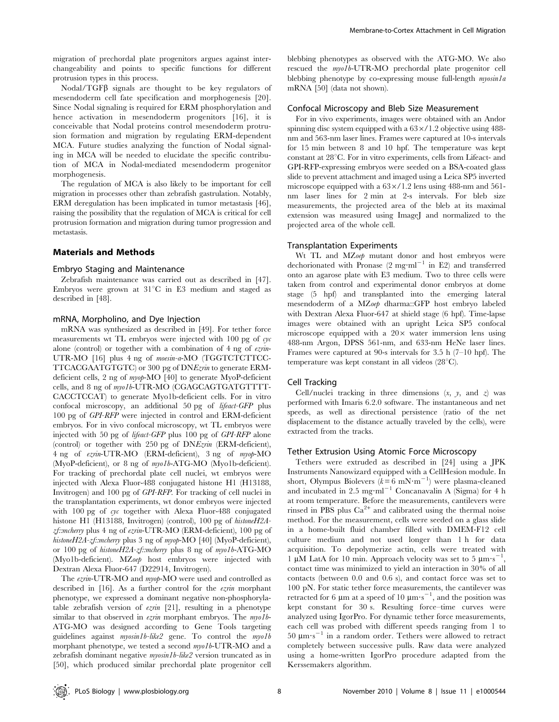migration of prechordal plate progenitors argues against interchangeability and points to specific functions for different protrusion types in this process.

Nodal/TGF $\beta$  signals are thought to be key regulators of mesendoderm cell fate specification and morphogenesis [20]. Since Nodal signaling is required for ERM phosphorylation and hence activation in mesendoderm progenitors [16], it is conceivable that Nodal proteins control mesendoderm protrusion formation and migration by regulating ERM-dependent MCA. Future studies analyzing the function of Nodal signaling in MCA will be needed to elucidate the specific contribution of MCA in Nodal-mediated mesendoderm progenitor morphogenesis.

The regulation of MCA is also likely to be important for cell migration in processes other than zebrafish gastrulation. Notably, ERM deregulation has been implicated in tumor metastasis [46], raising the possibility that the regulation of MCA is critical for cell protrusion formation and migration during tumor progression and metastasis.

### Materials and Methods

#### Embryo Staging and Maintenance

Zebrafish maintenance was carried out as described in [47]. Embryos were grown at  $31^{\circ}$ C in E3 medium and staged as described in [48].

#### mRNA, Morpholino, and Dye Injection

mRNA was synthesized as described in [49]. For tether force measurements wt TL embryos were injected with 100 pg of  $cyc$ alone (control) or together with a combination of 4 ng of ezrin-UTR-MO [16] plus 4 ng of moesin-a-MO (TGGTCTCTTCC-TTCACGAATGTGTC) or 300 pg of DNEzrin to generate ERMdeficient cells, 2 ng of myop-MO [40] to generate MyoP-deficient cells, and 8 ng of myo1b-UTR-MO (CGAGCAGTGATGTTTT-CACCTCCAT) to generate Myo1b-deficient cells. For in vitro confocal microscopy, an additional 50 pg of lifeact-GFP plus 100 pg of GPI-RFP were injected in control and ERM-deficient embryos. For in vivo confocal microscopy, wt TL embryos were injected with 50 pg of lifeact-GFP plus 100 pg of GPI-RFP alone (control) or together with  $250$  pg of DNE $z\tau$ *in* (ERM-deficient), 4 ng of ezrin-UTR-MO (ERM-deficient), 3 ng of myop-MO (MyoP-deficient), or 8 ng of myo1b-ATG-MO (Myo1b-deficient). For tracking of prechordal plate cell nuclei, wt embryos were injected with Alexa Fluor-488 conjugated histone H1 (H13188, Invitrogen) and 100 pg of GPI-RFP. For tracking of cell nuclei in the transplantation experiments, wt donor embryos were injected with 100 pg of cyc together with Alexa Fluor-488 conjugated histone H1 (H13188, Invitrogen) (control), 100 pg of histoneH2A $zf:mcherry$  plus 4 ng of ezrin-UTR-MO (ERM-deficient), 100 pg of histoneH2A-zf::mcherry plus 3 ng of myop-MO [40] (MyoP-deficient), or 100 pg of histoneH2A-zf::mcherry plus 8 ng of myo1b-ATG-MO (Myo1b-deficient). MZoep host embryos were injected with Dextran Alexa Fluor-647 (D22914, Invitrogen).

The ezrin-UTR-MO and myop-MO were used and controlled as described in [16]. As a further control for the  $e\zeta r\dot{n}$  morphant phenotype, we expressed a dominant negative non-phosphorylatable zebrafish version of  $ezrin$  [21], resulting in a phenotype similar to that observed in ezrin morphant embryos. The myo1b-ATG-MO was designed according to Gene Tools targeting guidelines against myosin1b-like2 gene. To control the myo1b morphant phenotype, we tested a second myo1b-UTR-MO and a zebrafish dominant negative myosin1b-like2 version truncated as in [50], which produced similar prechordal plate progenitor cell blebbing phenotypes as observed with the ATG-MO. We also rescued the myo1b-UTR-MO prechordal plate progenitor cell blebbing phenotype by co-expressing mouse full-length *myosin1a* mRNA [50] (data not shown).

# Confocal Microscopy and Bleb Size Measurement

For in vivo experiments, images were obtained with an Andor spinning disc system equipped with a  $63\times/1.2$  objective using 488nm and 563-nm laser lines. Frames were captured at 10-s intervals for 15 min between 8 and 10 hpf. The temperature was kept constant at 28°C. For in vitro experiments, cells from Lifeact- and GPI-RFP-expressing embryos were seeded on a BSA-coated glass slide to prevent attachment and imaged using a Leica SP5 inverted microscope equipped with a  $63 \times /1.2$  lens using 488-nm and 561nm laser lines for 2 min at 2-s intervals. For bleb size measurements, the projected area of the bleb at its maximal extension was measured using ImageJ and normalized to the projected area of the whole cell.

#### Transplantation Experiments

Wt TL and MZoep mutant donor and host embryos were dechorionated with Pronase  $(2 \text{ mg} \cdot \text{ml}^{-1} \text{ in E2})$  and transferred onto an agarose plate with E3 medium. Two to three cells were taken from control and experimental donor embryos at dome stage (5 hpf) and transplanted into the emerging lateral mesendoderm of a MZoep dharma::GFP host embryo labeled with Dextran Alexa Fluor-647 at shield stage (6 hpf). Time-lapse images were obtained with an upright Leica SP5 confocal microscope equipped with a  $20 \times$  water immersion lens using 488-nm Argon, DPSS 561-nm, and 633-nm HeNe laser lines. Frames were captured at 90-s intervals for 3.5 h (7–10 hpf). The temperature was kept constant in all videos  $(28^{\circ}C)$ .

### Cell Tracking

Cell/nuclei tracking in three dimensions  $(x, y, \text{ and } z)$  was performed with Imaris 6.2.0 software. The instantaneous and net speeds, as well as directional persistence (ratio of the net displacement to the distance actually traveled by the cells), were extracted from the tracks.

#### Tether Extrusion Using Atomic Force Microscopy

Tethers were extruded as described in [24] using a JPK Instruments Nanowizard equipped with a CellHesion module. In short, Olympus Biolevers  $(k=6 \text{ mN} \cdot \text{m}^{-1})$  were plasma-cleaned and incubated in 2.5 mg $\text{cm}^{-1}$  Concanavalin A (Sigma) for 4 h at room temperature. Before the measurements, cantilevers were rinsed in PBS plus  $Ca^{2+}$  and calibrated using the thermal noise method. For the measurement, cells were seeded on a glass slide in a home-built fluid chamber filled with DMEM-F12 cell culture medium and not used longer than 1 h for data acquisition. To depolymerize actin, cells were treated with 1 µM LatA for 10 min. Approach velocity was set to 5  $\mu$ m·s<sup>-1</sup>, contact time was minimized to yield an interaction in 30% of all contacts (between 0.0 and 0.6 s), and contact force was set to 100 pN. For static tether force measurements, the cantilever was retracted for 6  $\mu$ m at a speed of 10  $\mu$ m·s<sup>-1</sup>, and the position was kept constant for 30 s. Resulting force–time curves were analyzed using IgorPro. For dynamic tether force measurements, each cell was probed with different speeds ranging from 1 to  $50 \mu m \cdot s^{-1}$  in a random order. Tethers were allowed to retract completely between successive pulls. Raw data were analyzed using a home-written IgorPro procedure adapted from the Kerssemakers algorithm.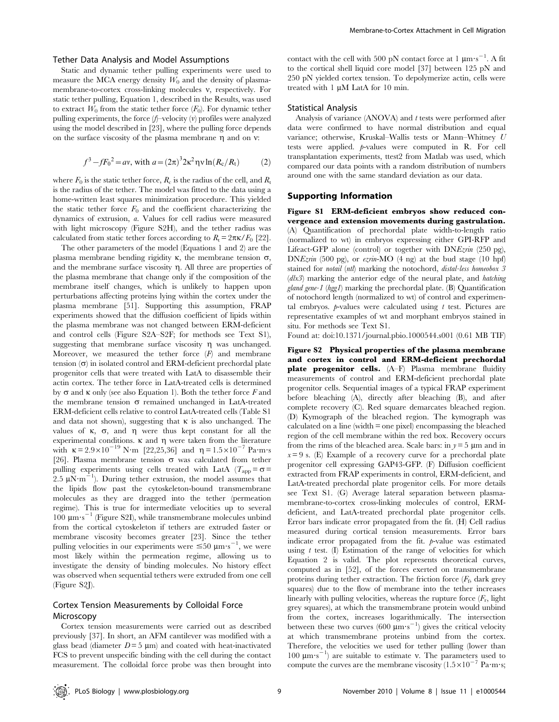#### Tether Data Analysis and Model Assumptions

Static and dynamic tether pulling experiments were used to measure the MCA energy density  $W_0$  and the density of plasmamembrane-to-cortex cross-linking molecules  $v$ , respectively. For static tether pulling, Equation 1, described in the Results, was used to extract  $W_0$  from the static tether force  $(F_0)$ . For dynamic tether pulling experiments, the force  $(f)$ –velocity  $(v)$  profiles were analyzed using the model described in [23], where the pulling force depends on the surface viscosity of the plasma membrane  $\eta$  and on v:

$$
f^{3} - fF_{0}^{2} = av, \text{ with } a = (2\pi)^{3} 2\kappa^{2} \eta \nu \ln(R_{c}/R_{t})
$$
 (2)

where  $F_0$  is the static tether force,  $R_c$  is the radius of the cell, and  $R_t$ is the radius of the tether. The model was fitted to the data using a home-written least squares minimization procedure. This yielded the static tether force  $F_0$  and the coefficient characterizing the dynamics of extrusion, a. Values for cell radius were measured with light microscopy (Figure S2H), and the tether radius was calculated from static tether forces according to  $R_t = 2\pi\kappa/F_0$  [22].

The other parameters of the model (Equations 1 and 2) are the plasma membrane bending rigidity  $\kappa$ , the membrane tension  $\sigma$ , and the membrane surface viscosity  $\eta$ . All three are properties of the plasma membrane that change only if the composition of the membrane itself changes, which is unlikely to happen upon perturbations affecting proteins lying within the cortex under the plasma membrane [51]. Supporting this assumption, FRAP experiments showed that the diffusion coefficient of lipids within the plasma membrane was not changed between ERM-deficient and control cells (Figure S2A–S2F; for methods see Text S1), suggesting that membrane surface viscosity  $\eta$  was unchanged. Moreover, we measured the tether force  $(F)$  and membrane tension  $(\sigma)$  in isolated control and ERM-deficient prechordal plate progenitor cells that were treated with LatA to disassemble their actin cortex. The tether force in LatA-treated cells is determined by  $\sigma$  and  $\kappa$  only (see also Equation 1). Both the tether force F and the membrane tension  $\sigma$  remained unchanged in LatA-treated ERM-deficient cells relative to control LatA-treated cells (Table S1 and data not shown), suggesting that  $\kappa$  is also unchanged. The values of  $\kappa$ ,  $\sigma$ , and  $\eta$  were thus kept constant for all the experimental conditions.  $\kappa$  and  $\eta$  were taken from the literature with  $\kappa = 2.9 \times 10^{-19}$  N·m [22,25,36] and  $\eta = 1.5 \times 10^{-7}$  Pa·m·s [26]. Plasma membrane tension  $\sigma$  was calculated from tether pulling experiments using cells treated with LatA ( $T_{\text{app}} = \sigma =$  $2.5 \mu \text{N} \cdot \text{m}^{-1}$ ). During tether extrusion, the model assumes that the lipids flow past the cytoskeleton-bound transmembrane molecules as they are dragged into the tether (permeation regime). This is true for intermediate velocities up to several  $100 \mu m \cdot s^{-1}$  (Figure S2I), while transmembrane molecules unbind from the cortical cytoskeleton if tethers are extruded faster or membrane viscosity becomes greater [23]. Since the tether pulling velocities in our experiments were  $\leq 50 \mu m \cdot s^{-1}$ , we were most likely within the permeation regime, allowing us to investigate the density of binding molecules. No history effect was observed when sequential tethers were extruded from one cell (Figure S2J).

# Cortex Tension Measurements by Colloidal Force Microscopy

Cortex tension measurements were carried out as described previously [37]. In short, an AFM cantilever was modified with a glass bead (diameter  $D=5 \mu m$ ) and coated with heat-inactivated FCS to prevent unspecific binding with the cell during the contact measurement. The colloidal force probe was then brought into

contact with the cell with 500 pN contact force at 1  $\mu$ m·s<sup>-1</sup>. A fit to the cortical shell liquid core model [37] between 125 pN and 250 pN yielded cortex tension. To depolymerize actin, cells were treated with  $1 \mu M$  LatA for 10 min.

# Statistical Analysis

Analysis of variance (ANOVA) and t tests were performed after data were confirmed to have normal distribution and equal variance; otherwise, Kruskal–Wallis tests or Mann–Whitney U tests were applied. p-values were computed in R. For cell transplantation experiments, ttest2 from Matlab was used, which compared our data points with a random distribution of numbers around one with the same standard deviation as our data.

#### Supporting Information

Figure S1 ERM-deficient embryos show reduced convergence and extension movements during gastrulation. (A) Quantification of prechordal plate width-to-length ratio (normalized to wt) in embryos expressing either GPI-RFP and Lifeact-GFP alone (control) or together with DNEzrin (250 pg),  $DNEznn$  (500 pg), or ezrin-MO (4 ng) at the bud stage (10 hpf) stained for notail (ntl) marking the notochord, distal-less homeobox 3  $(dlx3)$  marking the anterior edge of the neural plate, and *hatching* gland gene-1 (hgg1) marking the prechordal plate. (B) Quantification of notochord length (normalized to wt) of control and experimental embryos.  $p$ -values were calculated using t test. Pictures are representative examples of wt and morphant embryos stained in situ. For methods see Text S1.

Found at: doi:10.1371/journal.pbio.1000544.s001 (0.61 MB TIF)

Figure S2 Physical properties of the plasma membrane and cortex in control and ERM-deficient prechordal plate progenitor cells. (A–F) Plasma membrane fluidity measurements of control and ERM-deficient prechordal plate progenitor cells. Sequential images of a typical FRAP experiment before bleaching (A), directly after bleaching (B), and after complete recovery (C). Red square demarcates bleached region. (D) Kymograph of the bleached region. The kymograph was calculated on a line (width = one pixel) encompassing the bleached region of the cell membrane within the red box. Recovery occurs from the rims of the bleached area. Scale bars: in  $y = 5 \mu m$  and in  $x = 9$  s. (E) Example of a recovery curve for a prechordal plate progenitor cell expressing GAP43-GFP. (F) Diffusion coefficient extracted from FRAP experiments in control, ERM-deficient, and LatA-treated prechordal plate progenitor cells. For more details see Text S1. (G) Average lateral separation between plasmamembrane-to-cortex cross-linking molecules of control, ERMdeficient, and LatA-treated prechordal plate progenitor cells. Error bars indicate error propagated from the fit. (H) Cell radius measured during cortical tension measurements. Error bars indicate error propagated from the fit. p-value was estimated using  $t$  test. (I) Estimation of the range of velocities for which Equation 2 is valid. The plot represents theoretical curves, computed as in [52], of the forces exerted on transmembrane proteins during tether extraction. The friction force  $(F_f, \text{dark grey})$ squares) due to the flow of membrane into the tether increases linearly with pulling velocities, whereas the rupture force  $(F_r,$  light grey squares), at which the transmembrane protein would unbind from the cortex, increases logarithmically. The intersection between these two curves (600  $\mu$ m·s<sup>-1</sup>) gives the critical velocity at which transmembrane proteins unbind from the cortex. Therefore, the velocities we used for tether pulling (lower than 100  $\mu$ m·s<sup>-1</sup>) are suitable to estimate v. The parameters used to compute the curves are the membrane viscosity  $(1.5 \times 10^{-7} \text{ Pa} \cdot \text{m} \cdot \text{s})$ ;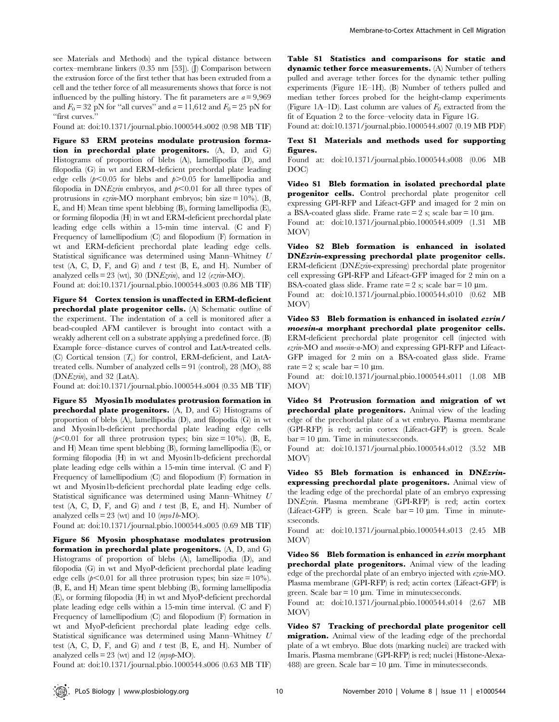see Materials and Methods) and the typical distance between cortex–membrane linkers (0.35 nm [53]). (J) Comparison between the extrusion force of the first tether that has been extruded from a cell and the tether force of all measurements shows that force is not influenced by the pulling history. The fit parameters are  $a = 9,969$ and  $F_0$  = 32 pN for "all curves" and  $a$  = 11,612 and  $F_0$  = 25 pN for ''first curves.''

Found at: doi:10.1371/journal.pbio.1000544.s002 (0.98 MB TIF)

Figure S3 ERM proteins modulate protrusion formation in prechordal plate progenitors. (A, D, and G) Histograms of proportion of blebs (A), lamellipodia (D), and filopodia (G) in wt and ERM-deficient prechordal plate leading edge cells  $(p<0.05$  for blebs and  $p>0.05$  for lamellipodia and filopodia in DNEzrin embryos, and  $p<0.01$  for all three types of protrusions in *ezrin*-MO morphant embryos; bin size  $= 10\%$ ). (B, E, and H) Mean time spent blebbing (B), forming lamellipodia (E), or forming filopodia (H) in wt and ERM-deficient prechordal plate leading edge cells within a 15-min time interval. (C and F) Frequency of lamellipodium (C) and filopodium (F) formation in wt and ERM-deficient prechordal plate leading edge cells. Statistical significance was determined using Mann–Whitney U test  $(A, C, D, F, and G)$  and t test  $(B, E, and H)$ . Number of analyzed cells = 23 (wt), 30 (DNEzrin), and 12 (ezrin-MO).

Found at: doi:10.1371/journal.pbio.1000544.s003 (0.86 MB TIF)

Figure S4 Cortex tension is unaffected in ERM-deficient prechordal plate progenitor cells. (A) Schematic outline of the experiment. The indentation of a cell is monitored after a bead-coupled AFM cantilever is brought into contact with a weakly adherent cell on a substrate applying a predefined force. (B) Example force–distance curves of control and LatA-treated cells. (C) Cortical tension  $(T_c)$  for control, ERM-deficient, and LatAtreated cells. Number of analyzed cells = 91 (control), 28 (MO), 88 (DNEzrin), and 32 (LatA).

Found at: doi:10.1371/journal.pbio.1000544.s004 (0.35 MB TIF)

Figure S5 Myosin1b modulates protrusion formation in prechordal plate progenitors. (A, D, and G) Histograms of proportion of blebs (A), lamellipodia (D), and filopodia (G) in wt and Myosin1b-deficient prechordal plate leading edge cells  $(p<0.01$  for all three protrusion types; bin size = 10%). (B, E, and H) Mean time spent blebbing (B), forming lamellipodia (E), or forming filopodia (H) in wt and Myosin1b-deficient prechordal plate leading edge cells within a 15-min time interval. (C and F) Frequency of lamellipodium (C) and filopodium (F) formation in wt and Myosin1b-deficient prechordal plate leading edge cells. Statistical significance was determined using Mann–Whitney U test  $(A, C, D, F, and G)$  and  $t$  test  $(B, E, and H)$ . Number of analyzed cells = 23 (wt) and 10 ( $myolb$ -MO).

Found at: doi:10.1371/journal.pbio.1000544.s005 (0.69 MB TIF)

Figure S6 Myosin phosphatase modulates protrusion formation in prechordal plate progenitors.  $(A, D, and G)$ Histograms of proportion of blebs (A), lamellipodia (D), and filopodia (G) in wt and MyoP-deficient prechordal plate leading edge cells ( $p<0.01$  for all three protrusion types; bin size = 10%). (B, E, and H) Mean time spent blebbing (B), forming lamellipodia (E), or forming filopodia (H) in wt and MyoP-deficient prechordal plate leading edge cells within a 15-min time interval. (C and F) Frequency of lamellipodium (C) and filopodium (F) formation in wt and MyoP-deficient prechordal plate leading edge cells. Statistical significance was determined using Mann–Whitney U test  $(A, C, D, F, and G)$  and  $t$  test  $(B, E, and H)$ . Number of analyzed cells  $= 23$  (wt) and 12 (*myop*-MO).

Table S1 Statistics and comparisons for static and dynamic tether force measurements. (A) Number of tethers pulled and average tether forces for the dynamic tether pulling experiments (Figure 1E–1H). (B) Number of tethers pulled and median tether forces probed for the height-clamp experiments (Figure 1A–1D). Last column are values of  $F_0$  extracted from the fit of Equation 2 to the force–velocity data in Figure 1G.

Found at: doi:10.1371/journal.pbio.1000544.s007 (0.19 MB PDF)

# Text S1 Materials and methods used for supporting figures.

Found at: doi:10.1371/journal.pbio.1000544.s008 (0.06 MB DOC)

Video S1 Bleb formation in isolated prechordal plate progenitor cells. Control prechordal plate progenitor cell expressing GPI-RFP and Lifeact-GFP and imaged for 2 min on a BSA-coated glass slide. Frame rate  $= 2$  s; scale bar  $= 10 \mu m$ . Found at: doi:10.1371/journal.pbio.1000544.s009 (1.31 MB MOV)

Video S2 Bleb formation is enhanced in isolated DNEzrin-expressing prechordal plate progenitor cells. ERM-deficient (DNEzrin-expressing) prechordal plate progenitor cell expressing GPI-RFP and Lifeact-GFP imaged for 2 min on a BSA-coated glass slide. Frame rate  $= 2$  s; scale bar  $= 10 \mu m$ . Found at: doi:10.1371/journal.pbio.1000544.s010 (0.62 MB MOV)

Video S3 Bleb formation is enhanced in isolated ezrin/ moesin-a morphant prechordal plate progenitor cells. ERM-deficient prechordal plate progenitor cell (injected with ezrin-MO and moesin-a-MO) and expressing GPI-RFP and Lifeact-GFP imaged for 2 min on a BSA-coated glass slide. Frame rate = 2 s; scale bar = 10  $\mu$ m.

Found at: doi:10.1371/journal.pbio.1000544.s011 (1.08 MB MOV)

Video S4 Protrusion formation and migration of wt prechordal plate progenitors. Animal view of the leading edge of the prechordal plate of a wt embryo. Plasma membrane (GPI-RFP) is red; actin cortex (Lifeact-GFP) is green. Scale  $bar = 10 \mu m$ . Time in minutes: seconds.

Found at: doi:10.1371/journal.pbio.1000544.s012 (3.52 MB MOV)

Video S5 Bleb formation is enhanced in DNEzrinexpressing prechordal plate progenitors. Animal view of the leading edge of the prechordal plate of an embryo expressing DNEzrin. Plasma membrane (GPI-RFP) is red; actin cortex (Lifeact-GFP) is green. Scale bar =  $10 \mu m$ . Time in minutes:seconds.

Found at: doi:10.1371/journal.pbio.1000544.s013 (2.45 MB MOV)

Video S6 Bleb formation is enhanced in ezrin morphant prechordal plate progenitors. Animal view of the leading edge of the prechordal plate of an embryo injected with ezrin-MO. Plasma membrane (GPI-RFP) is red; actin cortex (Lifeact-GFP) is green. Scale bar  $= 10 \mu m$ . Time in minutes: seconds.

Found at: doi:10.1371/journal.pbio.1000544.s014 (2.67 MB MOV)

Video S7 Tracking of prechordal plate progenitor cell migration. Animal view of the leading edge of the prechordal plate of a wt embryo. Blue dots (marking nuclei) are tracked with Imaris. Plasma membrane (GPI-RFP) is red; nuclei (Histone-Alexa-488) are green. Scale bar  $= 10 \mu m$ . Time in minutes: seconds.

Found at: doi:10.1371/journal.pbio.1000544.s006 (0.63 MB TIF)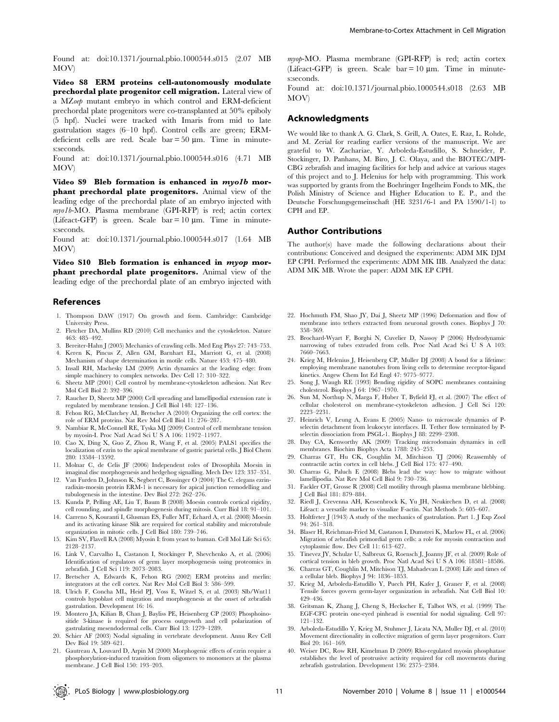Found at: doi:10.1371/journal.pbio.1000544.s015 (2.07 MB MOV)

Video S8 ERM proteins cell-autonomously modulate prechordal plate progenitor cell migration. Lateral view of a MZoep mutant embryo in which control and ERM-deficient prechordal plate progenitors were co-transplanted at 50% epiboly (5 hpf). Nuclei were tracked with Imaris from mid to late gastrulation stages (6–10 hpf). Control cells are green; ERMdeficient cells are red. Scale  $bar = 50 \mu m$ . Time in minutes:seconds.

Found at: doi:10.1371/journal.pbio.1000544.s016 (4.71 MB MOV)

Video S9 Bleb formation is enhanced in myolb morphant prechordal plate progenitors. Animal view of the leading edge of the prechordal plate of an embryo injected with myo1b-MO. Plasma membrane (GPI-RFP) is red; actin cortex (Lifeact-GFP) is green. Scale bar =  $10 \mu m$ . Time in minutes:seconds.

Found at: doi:10.1371/journal.pbio.1000544.s017 (1.64 MB MOV)

Video S10 Bleb formation is enhanced in myop morphant prechordal plate progenitors. Animal view of the leading edge of the prechordal plate of an embryo injected with

#### References

- 1. Thompson DAW (1917) On growth and form. Cambridge: Cambridge University Press.
- 2. Fletcher DA, Mullins RD (2010) Cell mechanics and the cytoskeleton. Nature 463: 485–492.
- 3. Bereiter-Hahn J (2005) Mechanics of crawling cells. Med Eng Phys 27: 743–753. 4. Keren K, Pincus Z, Allen GM, Barnhart EL, Marriott G, et al. (2008)
- Mechanism of shape determination in motile cells. Nature 453: 475–480. 5. Insall RH, Machesky LM (2009) Actin dynamics at the leading edge: from
- simple machinery to complex networks. Dev Cell 17: 310–322.
- 6. Sheetz MP (2001) Cell control by membrane-cytoskeleton adhesion. Nat Rev Mol Cell Biol 2: 392–396.
- 7. Raucher D, Sheetz MP (2000) Cell spreading and lamellipodial extension rate is regulated by membrane tension. J Cell Biol 148: 127–136.
- 8. Fehon RG, McClatchey AI, Bretscher A (2010) Organizing the cell cortex: the role of ERM proteins. Nat Rev Mol Cell Biol 11: 276–287.
- 9. Nambiar R, McConnell RE, Tyska MJ (2009) Control of cell membrane tension by myosin-I. Proc Natl Acad Sci U S A 106: 11972–11977.
- 10. Cao X, Ding X, Guo Z, Zhou R, Wang F, et al. (2005) PALS1 specifies the localization of ezrin to the apical membrane of gastric parietal cells. J Biol Chem 280: 13584–13592.
- 11. Molnar C, de Celis JF (2006) Independent roles of Drosophila Moesin in imaginal disc morphogenesis and hedgehog signalling. Mech Dev 123: 337–351.
- 12. Van Furden D, Johnson K, Segbert C, Bossinger O (2004) The C. elegans ezrinradixin-moesin protein ERM-1 is necessary for apical junction remodelling and tubulogenesis in the intestine. Dev Biol 272: 262–276.
- 13. Kunda P, Pelling AE, Liu T, Baum B (2008) Moesin controls cortical rigidity, cell rounding, and spindle morphogenesis during mitosis. Curr Biol 18: 91–101.
- 14. Carreno S, Kouranti I, Glusman ES, Fuller MT, Echard A, et al. (2008) Moesin and its activating kinase Slik are required for cortical stability and microtubule organization in mitotic cells. J Cell Biol 180: 739–746.
- 15. Kim SV, Flavell RA (2008) Myosin I: from yeast to human. Cell Mol Life Sci 65: 2128–2137.
- 16. Link V, Carvalho L, Castanon I, Stockinger P, Shevchenko A, et al. (2006) Identification of regulators of germ layer morphogenesis using proteomics in zebrafish. J Cell Sci 119: 2073–2083.
- 17. Bretscher A, Edwards K, Fehon RG (2002) ERM proteins and merlin: integrators at the cell cortex. Nat Rev Mol Cell Biol 3: 586–599.
- 18. Ulrich F, Concha ML, Heid PJ, Voss E, Witzel S, et al. (2003) Slb/Wnt11 controls hypoblast cell migration and morphogenesis at the onset of zebrafish gastrulation. Development 16: 16.
- 19. Montero JA, Kilian B, Chan J, Bayliss PE, Heisenberg CP (2003) Phosphoinositide 3-kinase is required for process outgrowth and cell polarization of gastrulating mesendodermal cells. Curr Biol 13: 1279–1289.
- 20. Schier AF (2003) Nodal signaling in vertebrate development. Annu Rev Cell Dev Biol 19: 589–621.
- 21. Gautreau A, Louvard D, Arpin M (2000) Morphogenic effects of ezrin require a phosphorylation-induced transition from oligomers to monomers at the plasma membrane. J Cell Biol 150: 193–203.

myop-MO. Plasma membrane (GPI-RFP) is red; actin cortex (Lifeact-GFP) is green. Scale bar =  $10 \mu m$ . Time in minutes:seconds.

Found at: doi:10.1371/journal.pbio.1000544.s018 (2.63 MB MOV)

# Acknowledgments

We would like to thank A. G. Clark, S. Grill, A. Oates, E. Raz, L. Rohde, and M. Zerial for reading earlier versions of the manuscript. We are grateful to W. Zachariae, Y. Arboleda-Estudillo, S. Schneider, P. Stockinger, D. Panhans, M. Biro, J. C. Olaya, and the BIOTEC/MPI-CBG zebrafish and imaging facilities for help and advice at various stages of this project and to J. Helenius for help with programming. This work was supported by grants from the Boehringer Ingelheim Fonds to MK, the Polish Ministry of Science and Higher Education to E. P., and the Deutsche Forschungsgemeinschaft (HE 3231/6-1 and PA 1590/1-1) to CPH and EP.

#### Author Contributions

The author(s) have made the following declarations about their contributions: Conceived and designed the experiments: ADM MK DJM EP CPH. Performed the experiments: ADM MK IIB. Analyzed the data: ADM MK MB. Wrote the paper: ADM MK EP CPH.

- 22. Hochmuth FM, Shao JY, Dai J, Sheetz MP (1996) Deformation and flow of membrane into tethers extracted from neuronal growth cones. Biophys J 70: 358–369.
- 23. Brochard-Wyart F, Borghi N, Cuvelier D, Nassoy P (2006) Hydrodynamic narrowing of tubes extruded from cells. Proc Natl Acad Sci U S A 103: 7660–7663.
- 24. Krieg M, Helenius J, Heisenberg CP, Muller DJ (2008) A bond for a lifetime: employing membrane nanotubes from living cells to determine receptor-ligand kinetics. Angew Chem Int Ed Engl 47: 9775–9777.
- 25. Song J, Waugh RE (1993) Bending rigidity of SOPC membranes containing cholesterol. Biophys J 64: 1967–1970.
- 26. Sun M, Northup N, Marga F, Huber T, Byfield FJ, et al. (2007) The effect of cellular cholesterol on membrane-cytoskeleton adhesion. J Cell Sci 120: 2223–2231.
- 27. Heinrich V, Leung A, Evans E (2005) Nano- to microscale dynamics of Pselectin detachment from leukocyte interfaces. II. Tether flow terminated by Pselectin dissociation from PSGL-1. Biophys J 88: 2299–2308.
- 28. Day CA, Kenworthy AK (2009) Tracking microdomain dynamics in cell membranes. Biochim Biophys Acta 1788: 245–253.
- 29. Charras GT, Hu CK, Coughlin M, Mitchison TJ (2006) Reassembly of contractile actin cortex in cell blebs. J Cell Biol 175: 477–490.
- 30. Charras G, Paluch E (2008) Blebs lead the way: how to migrate without lamellipodia. Nat Rev Mol Cell Biol 9: 730–736.
- 31. Fackler OT, Grosse R (2008) Cell motility through plasma membrane blebbing. J Cell Biol 181: 879–884.
- 32. Riedl J, Crevenna AH, Kessenbrock K, Yu JH, Neukirchen D, et al. (2008) Lifeact: a versatile marker to visualize F-actin. Nat Methods 5: 605–607.
- 33. Holtfreter J (1943) A study of the mechanics of gastrulation. Part 1. J Exp Zool 94: 261–318.
- 34. Blaser H, Reichman-Fried M, Castanon I, Dumstrei K, Marlow FL, et al. (2006) Migration of zebrafish primordial germ cells: a role for myosin contraction and cytoplasmic flow. Dev Cell 11: 613–627.
- 35. Tinevez JY, Schulze U, Salbreux G, Roensch J, Joanny JF, et al. (2009) Role of cortical tension in bleb growth. Proc Natl Acad Sci U S A 106: 18581–18586.
- 36. Charras GT, Coughlin M, Mitchison TJ, Mahadevan L (2008) Life and times of a cellular bleb. Biophys J 94: 1836–1853.
- 37. Krieg M, Arboleda-Estudillo Y, Puech PH, Kafer J, Graner F, et al. (2008) Tensile forces govern germ-layer organization in zebrafish. Nat Cell Biol 10: 429–436.
- 38. Gritsman K, Zhang J, Cheng S, Heckscher E, Talbot WS, et al. (1999) The EGF-CFC protein one-eyed pinhead is essential for nodal signaling. Cell 97: 121–132.
- 39. Arboleda-Estudillo Y, Krieg M, Stuhmer J, Licata NA, Muller DJ, et al. (2010) Movement directionality in collective migration of germ layer progenitors. Curr Biol 20: 161–169.
- 40. Weiser DC, Row RH, Kimelman D (2009) Rho-regulated myosin phosphatase establishes the level of protrusive activity required for cell movements during zebrafish gastrulation. Development 136: 2375–2384.